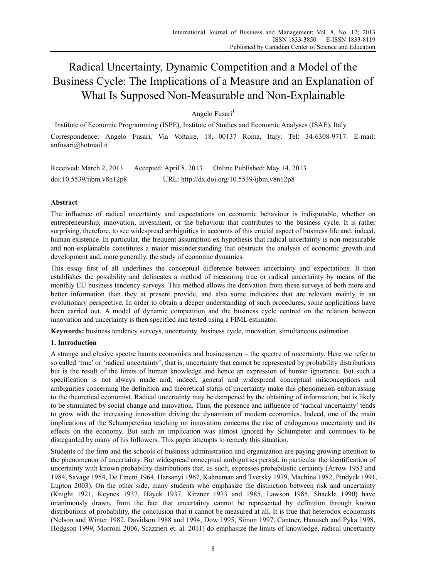# Radical Uncertainty, Dynamic Competition and a Model of the Business Cycle: The Implications of a Measure and an Explanation of What Is Supposed Non-Measurable and Non-Explainable

Angelo Fusari<sup>1</sup>

<sup>1</sup> Institute of Economic Programming (ISPE), Institute of Studies and Economic Analyses (ISAE), Italy Correspondence: Angelo Fusari, Via Voltaire, 18, 00137 Roma, Italy. Tel: 34-6308-9717. E-mail: anfusari@hotmail.it

Received: March 2, 2013 Accepted: April 8, 2013 Online Published: May 14, 2013 doi:10.5539/ijbm.v8n12p8 URL: http://dx.doi.org/10.5539/ijbm.v8n12p8

# **Abstract**

The influence of radical uncertainty and expectations on economic behaviour is indisputable, whether on entrepreneurship, innovation, investment, or the behaviour that contributes to the business cycle. It is rather surprising, therefore, to see widespread ambiguities in accounts of this crucial aspect of business life and, indeed, human existence. In particular, the frequent assumption ex hypothesis that radical uncertainty is non-measurable and non-explainable constitutes a major misunderstanding that obstructs the analysis of economic growth and development and, more generally, the study of economic dynamics.

This essay first of all underlines the conceptual difference between uncertainty and expectations. It then establishes the possibility and delineates a method of measuring true or radical uncertainty by means of the monthly EU business tendency surveys. This method allows the derivation from these surveys of both more and better information than they at present provide, and also some indicators that are relevant mainly in an evolutionary perspective. In order to obtain a deeper understanding of such procedures, some applications have been carried out. A model of dynamic competition and the business cycle centred on the relation between innovation and uncertainty is then specified and tested using a FIML estimator.

**Keywords:** business tendency surveys, uncertainty, business cycle, innovation, simultaneous estimation

# **1. Introduction**

A strange and elusive spectre haunts economists and businessmen – the spectre of uncertainty. Here we refer to so called 'true' or 'radical uncertainty', that is, uncertainty that cannot be represented by probability distributions but is the result of the limits of human knowledge and hence an expression of human ignorance. But such a specification is not always made and, indeed, general and widespread conceptual misconceptions and ambiguities concerning the definition and theoretical status of uncertainty make this phenomenon embarrassing to the theoretical economist. Radical uncertainty may be dampened by the obtaining of information; but is likely to be stimulated by social change and innovation. Thus, the presence and influence of 'radical uncertainty' tends to grow with the increasing innovation driving the dynamism of modern economies. Indeed, one of the main implications of the Schumpeterian teaching on innovation concerns the rise of endogenous uncertainty and its effects on the economy. But such an implication was almost ignored by Schumpeter and continues to be disregarded by many of his followers. This paper attempts to remedy this situation.

Students of the firm and the schools of business administration and organization are paying growing attention to the phenomenon of uncertainty. But widespread conceptual ambiguities persist, in particular the identification of uncertainty with known probability distributions that, as such, expresses probabilistic certainty (Arrow 1953 and 1984, Savage 1954, De Finetti 1964, Harsanyi 1967, Kahneman and Tversky 1979, Machina 1982, Pindyck 1991, Lupton 2003). On the other side, many students who emphasize the distinction between risk and uncertainty (Knight 1921, Keynes 1937, Hayek 1937, Kirzner 1973 and 1985, Lawson 1985, Shackle 1990) have unanimously drawn, from the fact that uncertainty cannot be represented by definition through known distributions of probability, the conclusion that it cannot be measured at all. It is true that heterodox economists (Nelson and Winter 1982, Davidson 1988 and 1994, Dow 1995, Simon 1997, Cantner, Hanusch and Pyka 1998, Hodgson 1999, Morroni 2006, Scazzieri et. al. 2011) do emphasize the limits of knowledge, radical uncertainty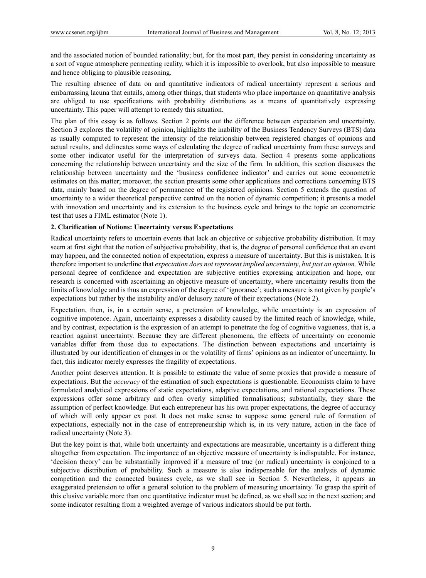and the associated notion of bounded rationality; but, for the most part, they persist in considering uncertainty as a sort of vague atmosphere permeating reality, which it is impossible to overlook, but also impossible to measure and hence obliging to plausible reasoning.

The resulting absence of data on and quantitative indicators of radical uncertainty represent a serious and embarrassing lacuna that entails, among other things, that students who place importance on quantitative analysis are obliged to use specifications with probability distributions as a means of quantitatively expressing uncertainty. This paper will attempt to remedy this situation.

The plan of this essay is as follows. Section 2 points out the difference between expectation and uncertainty. Section 3 explores the volatility of opinion, highlights the inability of the Business Tendency Surveys (BTS) data as usually computed to represent the intensity of the relationship between registered changes of opinions and actual results, and delineates some ways of calculating the degree of radical uncertainty from these surveys and some other indicator useful for the interpretation of surveys data. Section 4 presents some applications concerning the relationship between uncertainty and the size of the firm. In addition, this section discusses the relationship between uncertainty and the 'business confidence indicator' and carries out some econometric estimates on this matter; moreover, the section presents some other applications and corrections concerning BTS data, mainly based on the degree of permanence of the registered opinions. Section 5 extends the question of uncertainty to a wider theoretical perspective centred on the notion of dynamic competition; it presents a model with innovation and uncertainty and its extension to the business cycle and brings to the topic an econometric test that uses a FIML estimator (Note 1).

#### **2. Clarification of Notions: Uncertainty versus Expectations**

Radical uncertainty refers to uncertain events that lack an objective or subjective probability distribution. It may seem at first sight that the notion of subjective probability, that is, the degree of personal confidence that an event may happen, and the connected notion of expectation, express a measure of uncertainty. But this is mistaken. It is therefore important to underline that *expectation does not represent implied uncertainty*, *but just an opinion.* While personal degree of confidence and expectation are subjective entities expressing anticipation and hope, our research is concerned with ascertaining an objective measure of uncertainty, where uncertainty results from the limits of knowledge and is thus an expression of the degree of 'ignorance'; such a measure is not given by people's expectations but rather by the instability and/or delusory nature of their expectations (Note 2).

Expectation, then, is, in a certain sense, a pretension of knowledge, while uncertainty is an expression of cognitive impotence. Again, uncertainty expresses a disability caused by the limited reach of knowledge, while, and by contrast, expectation is the expression of an attempt to penetrate the fog of cognitive vagueness, that is, a reaction against uncertainty. Because they are different phenomena, the effects of uncertainty on economic variables differ from those due to expectations. The distinction between expectations and uncertainty is illustrated by our identification of changes in or the volatility of firms' opinions as an indicator of uncertainty. In fact, this indicator merely expresses the fragility of expectations.

Another point deserves attention. It is possible to estimate the value of some proxies that provide a measure of expectations. But the *accuracy* of the estimation of such expectations is questionable. Economists claim to have formulated analytical expressions of static expectations, adaptive expectations, and rational expectations. These expressions offer some arbitrary and often overly simplified formalisations; substantially, they share the assumption of perfect knowledge. But each entrepreneur has his own proper expectations, the degree of accuracy of which will only appear ex post. It does not make sense to suppose some general rule of formation of expectations, especially not in the case of entrepreneurship which is, in its very nature, action in the face of radical uncertainty (Note 3).

But the key point is that, while both uncertainty and expectations are measurable, uncertainty is a different thing altogether from expectation. The importance of an objective measure of uncertainty is indisputable. For instance, 'decision theory' can be substantially improved if a measure of true (or radical) uncertainty is conjoined to a subjective distribution of probability. Such a measure is also indispensable for the analysis of dynamic competition and the connected business cycle, as we shall see in Section 5. Nevertheless, it appears an exaggerated pretension to offer a general solution to the problem of measuring uncertainty. To grasp the spirit of this elusive variable more than one quantitative indicator must be defined, as we shall see in the next section; and some indicator resulting from a weighted average of various indicators should be put forth.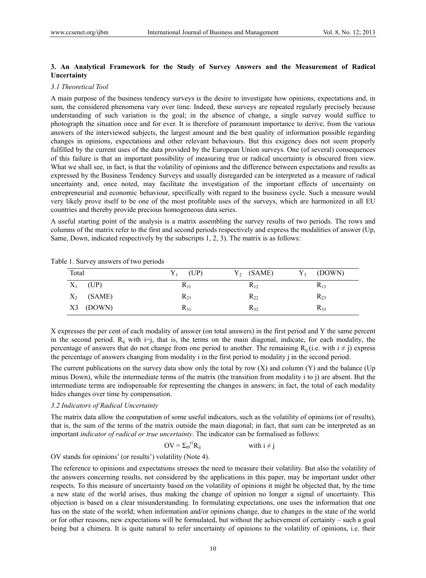## **3. An Analytical Framework for the Study of Survey Answers and the Measurement of Radical Uncertainty**

#### *3.1 Theoretical Tool*

A main purpose of the business tendency surveys is the desire to investigate how opinions, expectations and, in sum, the considered phenomena vary over time. Indeed, these surveys are repeated regularly precisely because understanding of such variation is the goal; in the absence of change, a single survey would suffice to photograph the situation once and for ever. It is therefore of paramount importance to derive, from the various answers of the interviewed subjects, the largest amount and the best quality of information possible regarding changes in opinions, expectations and other relevant behaviours. But this exigency does not seem properly fulfilled by the current uses of the data provided by the European Union surveys. One (of several) consequences of this failure is that an important possibility of measuring true or radical uncertainty is obscured from view. What we shall see, in fact, is that the volatility of opinions and the difference between expectations and results as expressed by the Business Tendency Surveys and usually disregarded can be interpreted as a measure of radical uncertainty and, once noted, may facilitate the investigation of the important effects of uncertainty on entrepreneurial and economic behaviour, specifically with regard to the business cycle. Such a measure would very likely prove itself to be one of the most profitable uses of the surveys, which are harmonized in all EU countries and thereby provide precious homogeneous data series.

A useful starting point of the analysis is a matrix assembling the survey results of two periods. The rows and columns of the matrix refer to the first and second periods respectively and express the modalities of answer (Up, Same, Down, indicated respectively by the subscripts 1, 2, 3). The matrix is as follows:

| Total |              | (UP)     | $Y_2$ (SAME) | $Y_3$ (DOWN) |
|-------|--------------|----------|--------------|--------------|
|       | $X_1$ (UP)   | $R_{11}$ | $R_{12}$     | $R_{13}$     |
|       | $X_2$ (SAME) | $R_{21}$ | $R_{22}$     | $R_{23}$     |
|       | X3 (DOWN)    | $R_{31}$ | $R_{32}$     | $R_{33}$     |

Table 1. Survey answers of two periods

X expresses the per cent of each modality of answer (on total answers) in the first period and Y the same percent in the second period.  $R_{ij}$  with i=j, that is, the terms on the main diagonal, indicate, for each modality, the percentage of answers that do not change from one period to another. The remaining  $R_{ii}$  (i.e. with  $i \neq j$ ) express the percentage of answers changing from modality i in the first period to modality j in the second period.

The current publications on the survey data show only the total by row  $(X)$  and column  $(Y)$  and the balance (Up minus Down), while the intermediate terms of the matrix (the transition from modality i to j) are absent. But the intermediate terms are indispensable for representing the changes in answers; in fact, the total of each modality hides changes over time by compensation.

#### *3.2 Indicators of Radical Uncertainty*

The matrix data allow the computation of some useful indicators, such as the volatility of opinions (or of results), that is, the sum of the terms of the matrix outside the main diagonal; in fact, that sum can be interpreted as an important *indicator of radical or true uncertainty*. The indicator can be formalised as follows:

$$
OV = \Sigma_{t0}^{t1} R_{ij} \qquad \text{with } i \neq j
$$

OV stands for opinions' (or results') volatility (Note 4).

The reference to opinions and expectations stresses the need to measure their volatility. But also the volatility of the answers concerning results, not considered by the applications in this paper, may be important under other respects. To this measure of uncertainty based on the volatility of opinions it might be objected that, by the time a new state of the world arises, thus making the change of opinion no longer a signal of uncertainty. This objection is based on a clear misunderstanding. In formulating expectations, one uses the information that one has on the state of the world; when information and/or opinions change, due to changes in the state of the world or for other reasons, new expectations will be formulated, but without the achievement of certainty – such a goal being but a chimera. It is quite natural to refer uncertainty of opinions to the volatility of opinions, i.e. their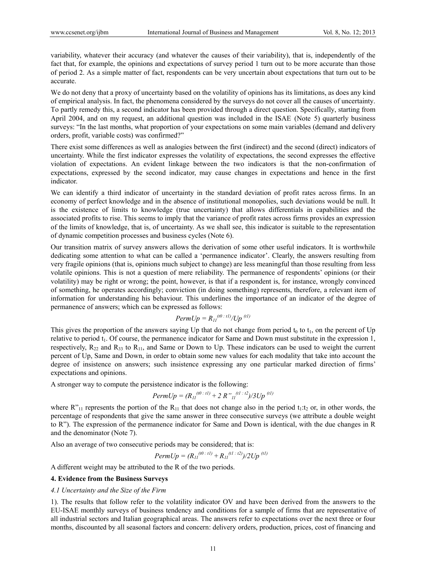variability, whatever their accuracy (and whatever the causes of their variability), that is, independently of the fact that, for example, the opinions and expectations of survey period 1 turn out to be more accurate than those of period 2. As a simple matter of fact, respondents can be very uncertain about expectations that turn out to be accurate.

We do not deny that a proxy of uncertainty based on the volatility of opinions has its limitations, as does any kind of empirical analysis. In fact, the phenomena considered by the surveys do not cover all the causes of uncertainty. To partly remedy this, a second indicator has been provided through a direct question. Specifically, starting from April 2004, and on my request, an additional question was included in the ISAE (Note 5) quarterly business surveys: "In the last months, what proportion of your expectations on some main variables (demand and delivery orders, profit, variable costs) was confirmed?"

There exist some differences as well as analogies between the first (indirect) and the second (direct) indicators of uncertainty. While the first indicator expresses the volatility of expectations, the second expresses the effective violation of expectations. An evident linkage between the two indicators is that the non-confirmation of expectations, expressed by the second indicator, may cause changes in expectations and hence in the first indicator.

We can identify a third indicator of uncertainty in the standard deviation of profit rates across firms. In an economy of perfect knowledge and in the absence of institutional monopolies, such deviations would be null. It is the existence of limits to knowledge (true uncertainty) that allows differentials in capabilities and the associated profits to rise. This seems to imply that the variance of profit rates across firms provides an expression of the limits of knowledge, that is, of uncertainty. As we shall see, this indicator is suitable to the representation of dynamic competition processes and business cycles (Note 6).

Our transition matrix of survey answers allows the derivation of some other useful indicators. It is worthwhile dedicating some attention to what can be called a 'permanence indicator'. Clearly, the answers resulting from very fragile opinions (that is, opinions much subject to change) are less meaningful than those resulting from less volatile opinions. This is not a question of mere reliability. The permanence of respondents' opinions (or their volatility) may be right or wrong; the point, however, is that if a respondent is, for instance, wrongly convinced of something, he operates accordingly; conviction (in doing something) represents, therefore, a relevant item of information for understanding his behaviour. This underlines the importance of an indicator of the degree of permanence of answers; which can be expressed as follows:

$$
PermUp = R_{II}^{(t0:t1)}/Up^{(t1)}
$$

This gives the proportion of the answers saying Up that do not change from period  $t_0$  to  $t_1$ , on the percent of Up relative to period  $t_1$ . Of course, the permanence indicator for Same and Down must substitute in the expression 1, respectively,  $R_{22}$  and  $R_{33}$  to  $R_{11}$ , and Same or Down to Up. These indicators can be used to weight the current percent of Up, Same and Down, in order to obtain some new values for each modality that take into account the degree of insistence on answers; such insistence expressing any one particular marked direction of firms' expectations and opinions.

A stronger way to compute the persistence indicator is the following:

*PermUp* = 
$$
(R_{II}^{(0:tl)} + 2 R''_{II}^{(tl:tl)}/3Up^{(tl)}
$$

where  $R_{11}^{\prime\prime}$  represents the portion of the  $R_{11}$  that does not change also in the period  $t_1:t_2$  or, in other words, the percentage of respondents that give the same answer in three consecutive surveys (we attribute a double weight to R"). The expression of the permanence indicator for Same and Down is identical, with the due changes in R and the denominator (Note 7).

Also an average of two consecutive periods may be considered; that is:

 $PermUp = (R_{II}^{(t0 : t1)} + R_{II}^{(t1 : t2)})/2Up^{(t1)}$ 

A different weight may be attributed to the R of the two periods.

#### **4. Evidence from the Business Surveys**

#### *4.1 Uncertainty and the Size of the Firm*

1). The results that follow refer to the volatility indicator OV and have been derived from the answers to the EU-ISAE monthly surveys of business tendency and conditions for a sample of firms that are representative of all industrial sectors and Italian geographical areas. The answers refer to expectations over the next three or four months, discounted by all seasonal factors and concern: delivery orders, production, prices, cost of financing and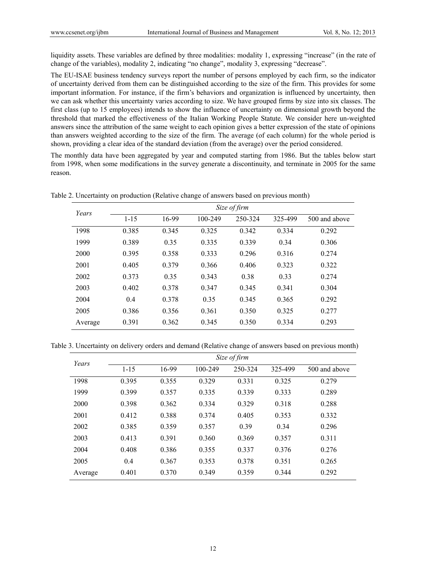liquidity assets. These variables are defined by three modalities: modality 1, expressing "increase" (in the rate of change of the variables), modality 2, indicating "no change", modality 3, expressing "decrease".

The EU-ISAE business tendency surveys report the number of persons employed by each firm, so the indicator of uncertainty derived from them can be distinguished according to the size of the firm. This provides for some important information. For instance, if the firm's behaviors and organization is influenced by uncertainty, then we can ask whether this uncertainty varies according to size. We have grouped firms by size into six classes. The first class (up to 15 employees) intends to show the influence of uncertainty on dimensional growth beyond the threshold that marked the effectiveness of the Italian Working People Statute. We consider here un-weighted answers since the attribution of the same weight to each opinion gives a better expression of the state of opinions than answers weighted according to the size of the firm. The average (of each column) for the whole period is shown, providing a clear idea of the standard deviation (from the average) over the period considered.

The monthly data have been aggregated by year and computed starting from 1986. But the tables below start from 1998, when some modifications in the survey generate a discontinuity, and terminate in 2005 for the same reason.

| Years   | Size of firm |       |         |         |         |               |  |
|---------|--------------|-------|---------|---------|---------|---------------|--|
|         | $1 - 15$     | 16-99 | 100-249 | 250-324 | 325-499 | 500 and above |  |
| 1998    | 0.385        | 0.345 | 0.325   | 0.342   | 0.334   | 0.292         |  |
| 1999    | 0.389        | 0.35  | 0.335   | 0.339   | 0.34    | 0.306         |  |
| 2000    | 0.395        | 0.358 | 0.333   | 0.296   | 0.316   | 0.274         |  |
| 2001    | 0.405        | 0.379 | 0.366   | 0.406   | 0.323   | 0.322         |  |
| 2002    | 0.373        | 0.35  | 0.343   | 0.38    | 0.33    | 0.274         |  |
| 2003    | 0.402        | 0.378 | 0.347   | 0.345   | 0.341   | 0.304         |  |
| 2004    | 0.4          | 0.378 | 0.35    | 0.345   | 0.365   | 0.292         |  |
| 2005    | 0.386        | 0.356 | 0.361   | 0.350   | 0.325   | 0.277         |  |
| Average | 0.391        | 0.362 | 0.345   | 0.350   | 0.334   | 0.293         |  |

Table 2. Uncertainty on production (Relative change of answers based on previous month)

Table 3. Uncertainty on delivery orders and demand (Relative change of answers based on previous month)

| Years   |          |       |         | Size of firm |         |               |
|---------|----------|-------|---------|--------------|---------|---------------|
|         | $1 - 15$ | 16-99 | 100-249 | 250-324      | 325-499 | 500 and above |
| 1998    | 0.395    | 0.355 | 0.329   | 0.331        | 0.325   | 0.279         |
| 1999    | 0.399    | 0.357 | 0.335   | 0.339        | 0.333   | 0.289         |
| 2000    | 0.398    | 0.362 | 0.334   | 0.329        | 0.318   | 0.288         |
| 2001    | 0.412    | 0.388 | 0.374   | 0.405        | 0.353   | 0.332         |
| 2002    | 0.385    | 0.359 | 0.357   | 0.39         | 0.34    | 0.296         |
| 2003    | 0.413    | 0.391 | 0.360   | 0.369        | 0.357   | 0.311         |
| 2004    | 0.408    | 0.386 | 0.355   | 0.337        | 0.376   | 0.276         |
| 2005    | 0.4      | 0.367 | 0.353   | 0.378        | 0.351   | 0.265         |
| Average | 0.401    | 0.370 | 0.349   | 0.359        | 0.344   | 0.292         |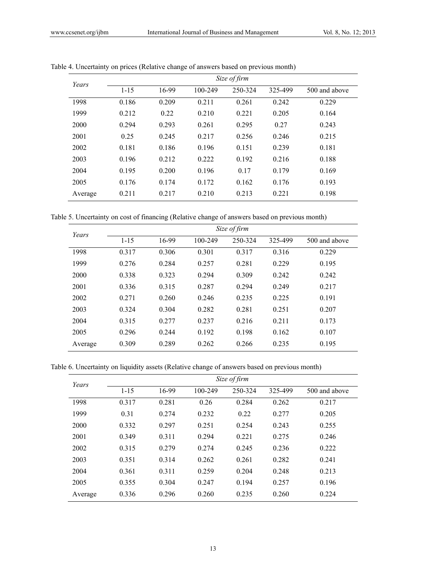| Years   |          |       |         | Size of firm |         |               |
|---------|----------|-------|---------|--------------|---------|---------------|
|         | $1 - 15$ | 16-99 | 100-249 | 250-324      | 325-499 | 500 and above |
| 1998    | 0.186    | 0.209 | 0.211   | 0.261        | 0.242   | 0.229         |
| 1999    | 0.212    | 0.22  | 0.210   | 0.221        | 0.205   | 0.164         |
| 2000    | 0.294    | 0.293 | 0.261   | 0.295        | 0.27    | 0.243         |
| 2001    | 0.25     | 0.245 | 0.217   | 0.256        | 0.246   | 0.215         |
| 2002    | 0.181    | 0.186 | 0.196   | 0.151        | 0.239   | 0.181         |
| 2003    | 0.196    | 0.212 | 0.222   | 0.192        | 0.216   | 0.188         |
| 2004    | 0.195    | 0.200 | 0.196   | 0.17         | 0.179   | 0.169         |
| 2005    | 0.176    | 0.174 | 0.172   | 0.162        | 0.176   | 0.193         |
| Average | 0.211    | 0.217 | 0.210   | 0.213        | 0.221   | 0.198         |

Table 4. Uncertainty on prices (Relative change of answers based on previous month)

Table 5. Uncertainty on cost of financing (Relative change of answers based on previous month)

| Years   |          |       |         | Size of firm |         |               |
|---------|----------|-------|---------|--------------|---------|---------------|
|         | $1 - 15$ | 16-99 | 100-249 | 250-324      | 325-499 | 500 and above |
| 1998    | 0.317    | 0.306 | 0.301   | 0.317        | 0.316   | 0.229         |
| 1999    | 0.276    | 0.284 | 0.257   | 0.281        | 0.229   | 0.195         |
| 2000    | 0.338    | 0.323 | 0.294   | 0.309        | 0.242   | 0.242         |
| 2001    | 0.336    | 0.315 | 0.287   | 0.294        | 0.249   | 0.217         |
| 2002    | 0.271    | 0.260 | 0.246   | 0.235        | 0.225   | 0.191         |
| 2003    | 0.324    | 0.304 | 0.282   | 0.281        | 0.251   | 0.207         |
| 2004    | 0.315    | 0.277 | 0.237   | 0.216        | 0.211   | 0.173         |
| 2005    | 0.296    | 0.244 | 0.192   | 0.198        | 0.162   | 0.107         |
| Average | 0.309    | 0.289 | 0.262   | 0.266        | 0.235   | 0.195         |

Table 6. Uncertainty on liquidity assets (Relative change of answers based on previous month)

| Years   |          |       |         | Size of firm |         |               |
|---------|----------|-------|---------|--------------|---------|---------------|
|         | $1 - 15$ | 16-99 | 100-249 | 250-324      | 325-499 | 500 and above |
| 1998    | 0.317    | 0.281 | 0.26    | 0.284        | 0.262   | 0.217         |
| 1999    | 0.31     | 0.274 | 0.232   | 0.22         | 0.277   | 0.205         |
| 2000    | 0.332    | 0.297 | 0.251   | 0.254        | 0.243   | 0.255         |
| 2001    | 0.349    | 0.311 | 0.294   | 0.221        | 0.275   | 0.246         |
| 2002    | 0.315    | 0.279 | 0.274   | 0.245        | 0.236   | 0.222         |
| 2003    | 0.351    | 0.314 | 0.262   | 0.261        | 0.282   | 0.241         |
| 2004    | 0.361    | 0.311 | 0.259   | 0.204        | 0.248   | 0.213         |
| 2005    | 0.355    | 0.304 | 0.247   | 0.194        | 0.257   | 0.196         |
| Average | 0.336    | 0.296 | 0.260   | 0.235        | 0.260   | 0.224         |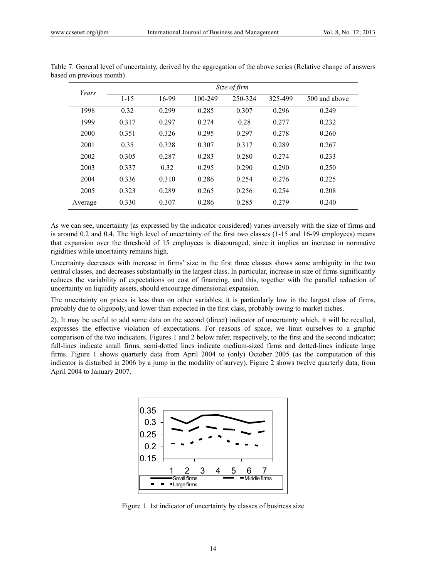| Years   |          |       |         | Size of firm |         |               |
|---------|----------|-------|---------|--------------|---------|---------------|
|         | $1 - 15$ | 16-99 | 100-249 | 250-324      | 325-499 | 500 and above |
| 1998    | 0.32     | 0.299 | 0.285   | 0.307        | 0.296   | 0.249         |
| 1999    | 0.317    | 0.297 | 0.274   | 0.28         | 0.277   | 0.232         |
| 2000    | 0.351    | 0.326 | 0.295   | 0.297        | 0.278   | 0.260         |
| 2001    | 0.35     | 0.328 | 0.307   | 0.317        | 0.289   | 0.267         |
| 2002    | 0.305    | 0.287 | 0.283   | 0.280        | 0.274   | 0.233         |
| 2003    | 0.337    | 0.32  | 0.295   | 0.290        | 0.290   | 0.250         |
| 2004    | 0.336    | 0.310 | 0.286   | 0.254        | 0.276   | 0.225         |
| 2005    | 0.323    | 0.289 | 0.265   | 0.256        | 0.254   | 0.208         |
| Average | 0.330    | 0.307 | 0.286   | 0.285        | 0.279   | 0.240         |

Table 7. General level of uncertainty, derived by the aggregation of the above series (Relative change of answers based on previous month)

As we can see, uncertainty (as expressed by the indicator considered) varies inversely with the size of firms and is around 0.2 and 0.4. The high level of uncertainty of the first two classes (1-15 and 16-99 employees) means that expansion over the threshold of 15 employees is discouraged, since it implies an increase in normative rigidities while uncertainty remains high.

Uncertainty decreases with increase in firms' size in the first three classes shows some ambiguity in the two central classes, and decreases substantially in the largest class. In particular, increase in size of firms significantly reduces the variability of expectations on cost of financing, and this, together with the parallel reduction of uncertainty on liquidity assets, should encourage dimensional expansion.

The uncertainty on prices is less than on other variables; it is particularly low in the largest class of firms, probably due to oligopoly, and lower than expected in the first class, probably owing to market niches.

2). It may be useful to add some data on the second (direct) indicator of uncertainty which, it will be recalled, expresses the effective violation of expectations. For reasons of space, we limit ourselves to a graphic comparison of the two indicators. Figures 1 and 2 below refer, respectively, to the first and the second indicator; full-lines indicate small firms, semi-dotted lines indicate medium-sized firms and dotted-lines indicate large firms. Figure 1 shows quarterly data from April 2004 to (only) October 2005 (as the computation of this indicator is disturbed in 2006 by a jump in the modality of survey). Figure 2 shows twelve quarterly data, from April 2004 to January 2007.



Figure 1. 1st indicator of uncertainty by classes of business size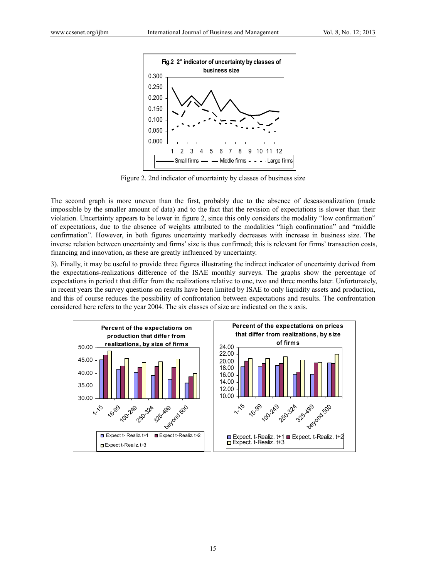

Figure 2. 2nd indicator of uncertainty by classes of business size

The second graph is more uneven than the first, probably due to the absence of deseasonalization (made impossible by the smaller amount of data) and to the fact that the revision of expectations is slower than their violation. Uncertainty appears to be lower in figure 2, since this only considers the modality "low confirmation" of expectations, due to the absence of weights attributed to the modalities "high confirmation" and "middle confirmation". However, in both figures uncertainty markedly decreases with increase in business size. The inverse relation between uncertainty and firms' size is thus confirmed; this is relevant for firms' transaction costs, financing and innovation, as these are greatly influenced by uncertainty.

3). Finally, it may be useful to provide three figures illustrating the indirect indicator of uncertainty derived from the expectations-realizations difference of the ISAE monthly surveys. The graphs show the percentage of expectations in period t that differ from the realizations relative to one, two and three months later. Unfortunately, in recent years the survey questions on results have been limited by ISAE to only liquidity assets and production, and this of course reduces the possibility of confrontation between expectations and results. The confrontation considered here refers to the year 2004. The six classes of size are indicated on the x axis.

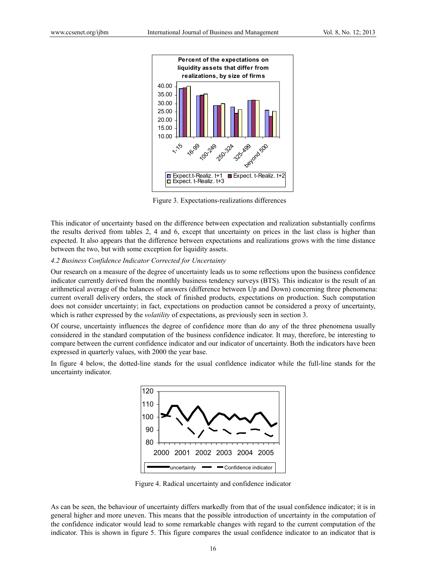

Figure 3. Expectations-realizations differences

This indicator of uncertainty based on the difference between expectation and realization substantially confirms the results derived from tables 2, 4 and 6, except that uncertainty on prices in the last class is higher than expected. It also appears that the difference between expectations and realizations grows with the time distance between the two, but with some exception for liquidity assets.

#### *4.2 Business Confidence Indicator Corrected for Uncertainty*

Our research on a measure of the degree of uncertainty leads us to some reflections upon the business confidence indicator currently derived from the monthly business tendency surveys (BTS). This indicator is the result of an arithmetical average of the balances of answers (difference between Up and Down) concerning three phenomena: current overall delivery orders, the stock of finished products, expectations on production. Such computation does not consider uncertainty; in fact, expectations on production cannot be considered a proxy of uncertainty, which is rather expressed by the *volatility* of expectations, as previously seen in section 3.

Of course, uncertainty influences the degree of confidence more than do any of the three phenomena usually considered in the standard computation of the business confidence indicator. It may, therefore, be interesting to compare between the current confidence indicator and our indicator of uncertainty. Both the indicators have been expressed in quarterly values, with 2000 the year base.

In figure 4 below, the dotted-line stands for the usual confidence indicator while the full-line stands for the uncertainty indicator.



Figure 4. Radical uncertainty and confidence indicator

As can be seen, the behaviour of uncertainty differs markedly from that of the usual confidence indicator; it is in general higher and more uneven. This means that the possible introduction of uncertainty in the computation of the confidence indicator would lead to some remarkable changes with regard to the current computation of the indicator. This is shown in figure 5. This figure compares the usual confidence indicator to an indicator that is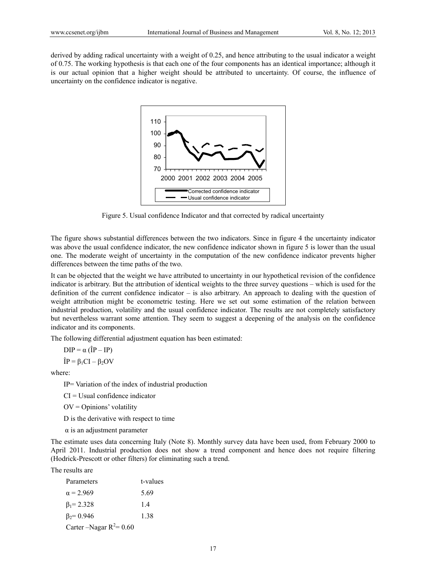derived by adding radical uncertainty with a weight of 0.25, and hence attributing to the usual indicator a weight of 0.75. The working hypothesis is that each one of the four components has an identical importance; although it is our actual opinion that a higher weight should be attributed to uncertainty. Of course, the influence of uncertainty on the confidence indicator is negative.



Figure 5. Usual confidence Indicator and that corrected by radical uncertainty

The figure shows substantial differences between the two indicators. Since in figure 4 the uncertainty indicator was above the usual confidence indicator, the new confidence indicator shown in figure 5 is lower than the usual one. The moderate weight of uncertainty in the computation of the new confidence indicator prevents higher differences between the time paths of the two.

It can be objected that the weight we have attributed to uncertainty in our hypothetical revision of the confidence indicator is arbitrary. But the attribution of identical weights to the three survey questions – which is used for the definition of the current confidence indicator – is also arbitrary. An approach to dealing with the question of weight attribution might be econometric testing. Here we set out some estimation of the relation between industrial production, volatility and the usual confidence indicator. The results are not completely satisfactory but nevertheless warrant some attention. They seem to suggest a deepening of the analysis on the confidence indicator and its components.

The following differential adjustment equation has been estimated:

 $DIP = \alpha (\hat{IP} - IP)$  $\hat{I}P = \beta_1CI - \beta_2OV$ 

where:

IP= Variation of the index of industrial production

- CI = Usual confidence indicator
- OV = Opinions' volatility

D is the derivative with respect to time

α is an adjustment parameter

The estimate uses data concerning Italy (Note 8). Monthly survey data have been used, from February 2000 to April 2011. Industrial production does not show a trend component and hence does not require filtering (Hodrick-Prescott or other filters) for eliminating such a trend.

The results are

| Parameters                 | t-values |
|----------------------------|----------|
| $\alpha = 2.969$           | 5.69     |
| $\beta_1 = 2.328$          | 14       |
| $\beta_2 = 0.946$          | 1.38     |
| Carter –Nagar $R^2$ = 0.60 |          |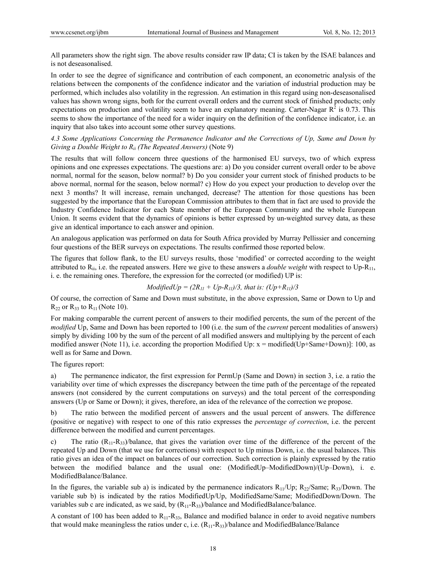All parameters show the right sign. The above results consider raw IP data; CI is taken by the ISAE balances and is not deseasonalised.

In order to see the degree of significance and contribution of each component, an econometric analysis of the relations between the components of the confidence indicator and the variation of industrial production may be performed, which includes also volatility in the regression. An estimation in this regard using non-deseasonalised values has shown wrong signs, both for the current overall orders and the current stock of finished products; only expectations on production and volatility seem to have an explanatory meaning. Carter-Nagar  $R^2$  is 0.73. This seems to show the importance of the need for a wider inquiry on the definition of the confidence indicator, i.e. an inquiry that also takes into account some other survey questions.

*4.3 Some Applications Concerning the Permanence Indicator and the Corrections of Up, Same and Down by Giving a Double Weight to Rii (The Repeated Answers)* (Note 9)

The results that will follow concern three questions of the harmonised EU surveys, two of which express opinions and one expresses expectations. The questions are: a) Do you consider current overall order to be above normal, normal for the season, below normal? b) Do you consider your current stock of finished products to be above normal, normal for the season, below normal? c) How do you expect your production to develop over the next 3 months? It will increase, remain unchanged, decrease? The attention for those questions has been suggested by the importance that the European Commission attributes to them that in fact are used to provide the Industry Confidence Indicator for each State member of the European Community and the whole European Union. It seems evident that the dynamics of opinions is better expressed by un-weighted survey data, as these give an identical importance to each answer and opinion.

An analogous application was performed on data for South Africa provided by Murray Pellissier and concerning four questions of the BER surveys on expectations. The results confirmed those reported below.

The figures that follow flank, to the EU surveys results, those 'modified' or corrected according to the weight attributed to  $R_{ii}$ , i.e. the repeated answers. Here we give to these answers a *double weight* with respect to  $Up-R_{11}$ , i. e. the remaining ones. Therefore, the expression for the corrected (or modified) UP is:

*ModifiedUp* = 
$$
(2R_{11} + Up - R_{11})/3
$$
, that is:  $(Up + R_{11})/3$ 

Of course, the correction of Same and Down must substitute, in the above expression, Same or Down to Up and  $R_{22}$  or  $R_{33}$  to  $R_{11}$  (Note 10).

For making comparable the current percent of answers to their modified percents, the sum of the percent of the *modified* Up, Same and Down has been reported to 100 (i.e. the sum of the *current* percent modalities of answers) simply by dividing 100 by the sum of the percent of all modified answers and multiplying by the percent of each modified answer (Note 11), i.e. according the proportion Modified Up: x = modified(Up+Same+Down)]: 100, as well as for Same and Down.

The figures report:

a) The permanence indicator, the first expression for PermUp (Same and Down) in section 3, i.e. a ratio the variability over time of which expresses the discrepancy between the time path of the percentage of the repeated answers (not considered by the current computations on surveys) and the total percent of the corresponding answers (Up or Same or Down); it gives, therefore, an idea of the relevance of the correction we propose.

b) The ratio between the modified percent of answers and the usual percent of answers. The difference (positive or negative) with respect to one of this ratio expresses the *percentage of correction*, i.e. the percent difference between the modified and current percentages.

c) The ratio  $(R_{11}-R_{33})$ /balance, that gives the variation over time of the difference of the percent of the repeated Up and Down (that we use for corrections) with respect to Up minus Down, i.e. the usual balances. This ratio gives an idea of the impact on balances of our correction. Such correction is plainly expressed by the ratio between the modified balance and the usual one: (ModifiedUp–ModifiedDown)/(Up–Down), i. e. ModifiedBalance/Balance.

In the figures, the variable sub a) is indicated by the permanence indicators  $R_{11}/Up$ ;  $R_{22}/Same$ ;  $R_{33}/Down$ . The variable sub b) is indicated by the ratios ModifiedUp/Up, ModifiedSame/Same; ModifiedDown/Down. The variables sub c are indicated, as we said, by  $(R_{11}-R_{33})$ /balance and ModifiedBalance/balance.

A constant of 100 has been added to  $R_{11}-R_{33}$ , Balance and modified balance in order to avoid negative numbers that would make meaningless the ratios under c, i.e.  $(R_{11}-R_{33})$ /balance and ModifiedBalance/Balance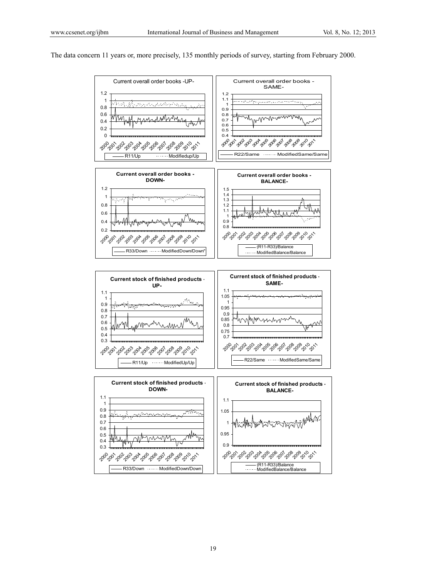

The data concern 11 years or, more precisely, 135 monthly periods of survey, starting from February 2000.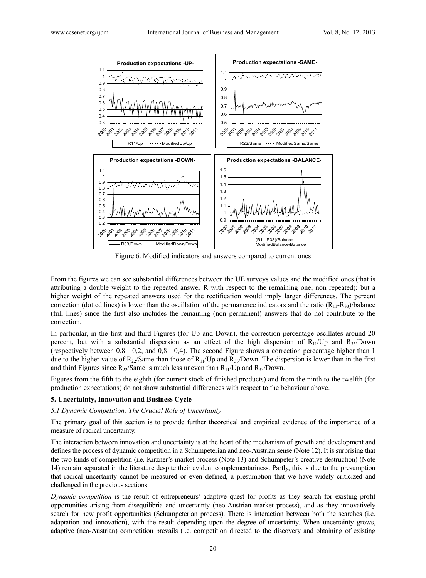

Figure 6. Modified indicators and answers compared to current ones

From the figures we can see substantial differences between the UE surveys values and the modified ones (that is attributing a double weight to the repeated answer R with respect to the remaining one, non repeated); but a higher weight of the repeated answers used for the rectification would imply larger differences. The percent correction (dotted lines) is lower than the oscillation of the permanence indicators and the ratio  $(R_{11}-R_{33})$ /balance (full lines) since the first also includes the remaining (non permanent) answers that do not contribute to the correction.

In particular, in the first and third Figures (for Up and Down), the correction percentage oscillates around 20 percent, but with a substantial dispersion as an effect of the high dispersion of  $R_{11}/Up$  and  $R_{33}/Down$ (respectively between 0,8 0,2, and 0,8 0,4). The second Figure shows a correction percentage higher than 1 due to the higher value of R<sub>22</sub>/Same than those of R<sub>11</sub>/Up and R<sub>33</sub>/Down. The dispersion is lower than in the first and third Figures since  $R_{22}/S$ ame is much less uneven than  $R_{11}/Up$  and  $R_{33}/Down$ .

Figures from the fifth to the eighth (for current stock of finished products) and from the ninth to the twelfth (for production expectations) do not show substantial differences with respect to the behaviour above.

#### **5. Uncertainty, Innovation and Business Cycle**

## *5.1 Dynamic Competition: The Crucial Role of Uncertainty*

The primary goal of this section is to provide further theoretical and empirical evidence of the importance of a measure of radical uncertainty.

The interaction between innovation and uncertainty is at the heart of the mechanism of growth and development and defines the process of dynamic competition in a Schumpeterian and neo-Austrian sense (Note 12). It is surprising that the two kinds of competition (i.e. Kirzner's market process (Note 13) and Schumpeter's creative destruction) (Note 14) remain separated in the literature despite their evident complementariness. Partly, this is due to the presumption that radical uncertainty cannot be measured or even defined, a presumption that we have widely criticized and challenged in the previous sections.

*Dynamic competition* is the result of entrepreneurs' adaptive quest for profits as they search for existing profit opportunities arising from disequilibria and uncertainty (neo-Austrian market process), and as they innovatively search for new profit opportunities (Schumpeterian process). There is interaction between both the searches (i.e. adaptation and innovation), with the result depending upon the degree of uncertainty. When uncertainty grows, adaptive (neo-Austrian) competition prevails (i.e. competition directed to the discovery and obtaining of existing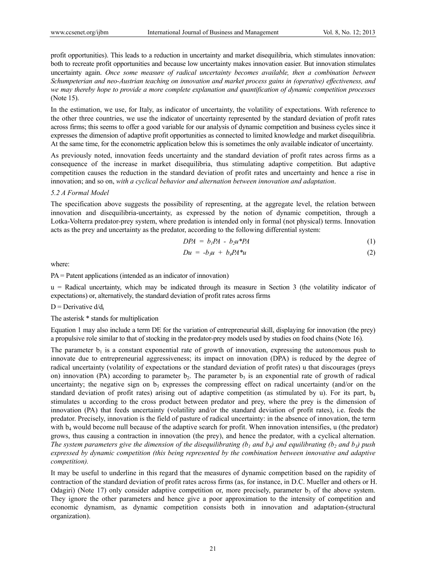profit opportunities). This leads to a reduction in uncertainty and market disequilibria, which stimulates innovation: both to recreate profit opportunities and because low uncertainty makes innovation easier. But innovation stimulates uncertainty again. *Once some measure of radical uncertainty becomes available, then a combination between Schumpeterian and neo-Austrian teaching on innovation and market process gains in (operative) effectiveness, and we may thereby hope to provide a more complete explanation and quantification of dynamic competition processes*  (Note 15).

In the estimation, we use, for Italy, as indicator of uncertainty, the volatility of expectations. With reference to the other three countries, we use the indicator of uncertainty represented by the standard deviation of profit rates across firms; this seems to offer a good variable for our analysis of dynamic competition and business cycles since it expresses the dimension of adaptive profit opportunities as connected to limited knowledge and market disequilibria. At the same time, for the econometric application below this is sometimes the only available indicator of uncertainty.

As previously noted, innovation feeds uncertainty and the standard deviation of profit rates across firms as a consequence of the increase in market disequilibria, thus stimulating adaptive competition. But adaptive competition causes the reduction in the standard deviation of profit rates and uncertainty and hence a rise in innovation; and so on, *with a cyclical behavior and alternation between innovation and adaptation*.

## *5.2 A Formal Model*

The specification above suggests the possibility of representing, at the aggregate level, the relation between innovation and disequilibria-uncertainty, as expressed by the notion of dynamic competition, through a Lotka-Volterra predator-prey system, where predation is intended only in formal (not physical) terms. Innovation acts as the prey and uncertainty as the predator, according to the following differential system:

$$
DPA = b_1PA - b_2u^*PA \tag{1}
$$

$$
Du = -b_3u + b_4PA^*u \tag{2}
$$

where:

PA = Patent applications (intended as an indicator of innovation)

u = Radical uncertainty, which may be indicated through its measure in Section 3 (the volatility indicator of expectations) or, alternatively, the standard deviation of profit rates across firms

 $D$  = Derivative  $d/d_t$ 

The asterisk \* stands for multiplication

Equation 1 may also include a term DE for the variation of entrepreneurial skill, displaying for innovation (the prey) a propulsive role similar to that of stocking in the predator-prey models used by studies on food chains (Note 16).

The parameter  $b_1$  is a constant exponential rate of growth of innovation, expressing the autonomous push to innovate due to entrepreneurial aggressiveness; its impact on innovation (DPA) is reduced by the degree of radical uncertainty (volatility of expectations or the standard deviation of profit rates) u that discourages (preys on) innovation (PA) according to parameter b<sub>2</sub>. The parameter b<sub>3</sub> is an exponential rate of growth of radical uncertainty; the negative sign on  $b_3$  expresses the compressing effect on radical uncertainty (and/or on the standard deviation of profit rates) arising out of adaptive competition (as stimulated by u). For its part, b4 stimulates u according to the cross product between predator and prey, where the prey is the dimension of innovation (PA) that feeds uncertainty (volatility and/or the standard deviation of profit rates), i.e. feeds the predator. Precisely, innovation is the field of pasture of radical uncertainty: in the absence of innovation, the term with  $b_4$  would become null because of the adaptive search for profit. When innovation intensifies, u (the predator) grows, thus causing a contraction in innovation (the prey), and hence the predator, with a cyclical alternation. *The system parameters give the dimension of the disequilibrating (b<sub>1</sub> and b<sub>4</sub>) and equilibrating (b<sub>2</sub> and b<sub>3</sub>) push expressed by dynamic competition (this being represented by the combination between innovative and adaptive competition).*

It may be useful to underline in this regard that the measures of dynamic competition based on the rapidity of contraction of the standard deviation of profit rates across firms (as, for instance, in D.C. Mueller and others or H. Odagiri) (Note 17) only consider adaptive competition or, more precisely, parameter  $b<sub>3</sub>$  of the above system. They ignore the other parameters and hence give a poor approximation to the intensity of competition and economic dynamism, as dynamic competition consists both in innovation and adaptation-(structural organization).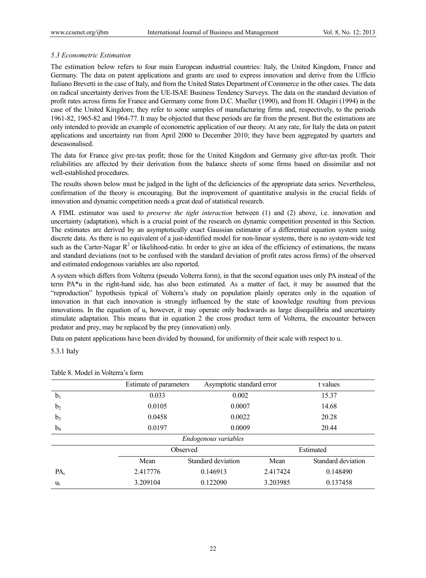## *5.3 Econometric Estimation*

The estimation below refers to four main European industrial countries: Italy, the United Kingdom, France and Germany. The data on patent applications and grants are used to express innovation and derive from the Ufficio Italiano Brevetti in the case of Italy, and from the United States Department of Commerce in the other cases. The data on radical uncertainty derives from the UE-ISAE Business Tendency Surveys. The data on the standard deviation of profit rates across firms for France and Germany come from D.C. Mueller (1990), and from H. Odagiri (1994) in the case of the United Kingdom; they refer to some samples of manufacturing firms and, respectively, to the periods 1961-82, 1965-82 and 1964-77. It may be objected that these periods are far from the present. But the estimations are only intended to provide an example of econometric application of our theory. At any rate, for Italy the data on patent applications and uncertainty run from April 2000 to December 2010; they have been aggregated by quarters and deseasonalised.

The data for France give pre-tax profit; those for the United Kingdom and Germany give after-tax profit. Their reliabilities are affected by their derivation from the balance sheets of some firms based on dissimilar and not well-established procedures.

The results shown below must be judged in the light of the deficiencies of the appropriate data series. Nevertheless, confirmation of the theory is encouraging. But the improvement of quantitative analysis in the crucial fields of innovation and dynamic competition needs a great deal of statistical research.

A FIML estimator was used to *preserve the tight interaction* between (1) and (2) above, i.e. innovation and uncertainty (adaptation), which is a crucial point of the research on dynamic competition presented in this Section. The estimates are derived by an asymptotically exact Gaussian estimator of a differential equation system using discrete data. As there is no equivalent of a just-identified model for non-linear systems, there is no system-wide test such as the Carter-Nagar  $R^2$  or likelihood-ratio. In order to give an idea of the efficiency of estimations, the means and standard deviations (not to be confused with the standard deviation of profit rates across firms) of the observed and estimated endogenous variables are also reported.

A system which differs from Volterra (pseudo Volterra form), in that the second equation uses only PA instead of the term PA\*u in the right-hand side, has also been estimated. As a matter of fact, it may be assumed that the "reproduction" hypothesis typical of Volterra's study on population plainly operates only in the equation of innovation in that each innovation is strongly influenced by the state of knowledge resulting from previous innovations. In the equation of u, however, it may operate only backwards as large disequilibria and uncertainty stimulate adaptation. This means that in equation 2 the cross product term of Volterra, the encounter between predator and prey, may be replaced by the prey (innovation) only.

Data on patent applications have been divided by thousand, for uniformity of their scale with respect to u.

5.3.1 Italy

|                | Estimate of parameters | Asymptotic standard error |          | t values           |  |  |
|----------------|------------------------|---------------------------|----------|--------------------|--|--|
| b <sub>1</sub> | 0.033                  | 0.002                     |          | 15.37              |  |  |
| b <sub>2</sub> | 0.0105                 | 0.0007                    |          | 14.68              |  |  |
| b <sub>3</sub> | 0.0458                 | 0.0022                    |          | 20.28              |  |  |
| $b_4$          | 0.0197                 | 0.0009                    |          | 20.44              |  |  |
|                |                        | Endogenous variables      |          |                    |  |  |
|                | Observed               |                           |          | Estimated          |  |  |
|                | Mean                   | Standard deviation        | Mean     | Standard deviation |  |  |
| $PA_t$         | 2.417776               | 0.146913                  | 2.417424 | 0.148490           |  |  |
| $u_t$          | 3.209104               | 0.122090                  | 3.203985 | 0.137458           |  |  |

Table 8. Model in Volterra's form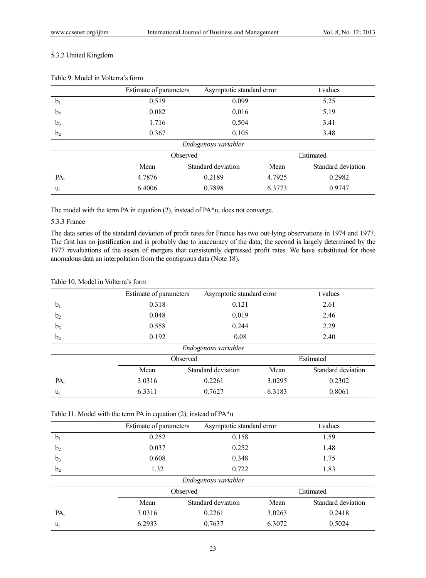## 5.3.2 United Kingdom

|                | Estimate of parameters | Asymptotic standard error |           | t values           |  |
|----------------|------------------------|---------------------------|-----------|--------------------|--|
| b <sub>1</sub> | 0.519                  | 0.099                     |           | 5.25               |  |
| b <sub>2</sub> | 0.082                  | 0.016                     |           | 5.19               |  |
| b <sub>3</sub> | 1.716                  | 0.504                     |           | 3.41               |  |
| $b_4$          | 0.367                  | 0.105                     |           | 3.48               |  |
|                |                        | Endogenous variables      |           |                    |  |
|                | Observed               |                           | Estimated |                    |  |
|                | Mean                   | Standard deviation        | Mean      | Standard deviation |  |
| $PA_t$         | 4.7876                 | 0.2189                    | 4.7925    | 0.2982             |  |
| $u_{t}$        | 6.4006                 | 0.7898                    | 6.3773    | 0.9747             |  |

#### Table 9. Model in Volterra's form

The model with the term PA in equation (2), instead of PA\*u, does not converge.

## 5.3.3 France

The data series of the standard deviation of profit rates for France has two out-lying observations in 1974 and 1977. The first has no justification and is probably due to inaccuracy of the data; the second is largely determined by the 1977 revaluations of the assets of mergers that consistently depressed profit rates. We have substituted for those anomalous data an interpolation from the contiguous data (Note 18).

|                | Estimate of parameters | Asymptotic standard error |           | t values           |  |
|----------------|------------------------|---------------------------|-----------|--------------------|--|
| b <sub>1</sub> | 0.318                  | 0.121                     |           | 2.61               |  |
| b <sub>2</sub> | 0.048                  | 0.019                     |           | 2.46               |  |
| b <sub>3</sub> | 0.558                  | 0.244                     |           | 2.29               |  |
| $b_4$          | 0.192                  | 0.08                      |           |                    |  |
|                |                        | Endogenous variables      |           |                    |  |
|                | Observed               |                           | Estimated |                    |  |
|                | Mean                   | Standard deviation        | Mean      | Standard deviation |  |
| $PA_t$         | 3.0316                 | 0.2261                    | 3.0295    | 0.2302             |  |
| $u_{t}$        | 6.3311                 | 0.7627                    | 6.3183    | 0.8061             |  |

## Table 10. Model in Volterra's form

## Table 11. Model with the term PA in equation (2), instead of PA\*u

|                | Estimate of parameters | Asymptotic standard error |           | t values           |  |  |  |  |  |
|----------------|------------------------|---------------------------|-----------|--------------------|--|--|--|--|--|
| b <sub>1</sub> | 0.252                  | 0.158                     |           | 1.59               |  |  |  |  |  |
| b <sub>2</sub> | 0.037                  | 0.252                     |           | 1.48               |  |  |  |  |  |
| b <sub>3</sub> | 0.608                  | 0.348                     |           | 1.75               |  |  |  |  |  |
| $b_4$          | 1.32                   | 0.722                     |           | 1.83               |  |  |  |  |  |
|                | Endogenous variables   |                           |           |                    |  |  |  |  |  |
|                | Observed               |                           | Estimated |                    |  |  |  |  |  |
|                | Mean                   | Standard deviation        | Mean      | Standard deviation |  |  |  |  |  |
| $PA_t$         | 3.0316                 | 0.2261                    | 3.0263    | 0.2418             |  |  |  |  |  |
| $u_t$          | 6.2933                 | 0.7637                    | 6.3072    | 0.5024             |  |  |  |  |  |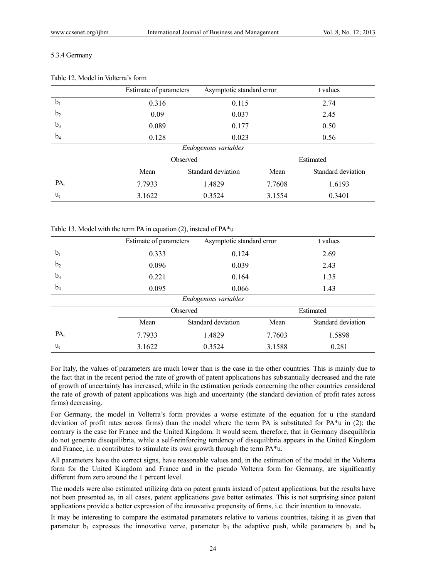## 5.3.4 Germany

|                      | Estimate of parameters | Asymptotic standard error |           | t values           |  |  |
|----------------------|------------------------|---------------------------|-----------|--------------------|--|--|
| b <sub>1</sub>       | 0.316                  | 0.115                     |           | 2.74               |  |  |
| b <sub>2</sub>       | 0.09                   | 0.037                     |           | 2.45               |  |  |
| b <sub>3</sub>       | 0.089                  | 0.177                     |           | 0.50               |  |  |
| $b_4$                | 0.128                  | 0.023                     |           | 0.56               |  |  |
| Endogenous variables |                        |                           |           |                    |  |  |
|                      | Observed               |                           | Estimated |                    |  |  |
|                      | Mean                   | Standard deviation        | Mean      | Standard deviation |  |  |
| $PA_t$               | 7.7933                 | 1.4829                    | 7.7608    | 1.6193             |  |  |
| $u_{t}$              | 3.1622                 | 0.3524                    | 3.1554    | 0.3401             |  |  |

## Table 12. Model in Volterra's form

Table 13. Model with the term PA in equation (2), instead of PA\*u

|                      | Estimate of parameters | Asymptotic standard error |           | t values           |  |  |
|----------------------|------------------------|---------------------------|-----------|--------------------|--|--|
| b <sub>1</sub>       | 0.333                  | 0.124                     |           | 2.69               |  |  |
| b <sub>2</sub>       | 0.096                  | 0.039                     |           | 2.43               |  |  |
| $b_3$                | 0.221                  | 0.164                     |           | 1.35               |  |  |
| $b_4$                | 0.095                  | 0.066                     |           | 1.43               |  |  |
| Endogenous variables |                        |                           |           |                    |  |  |
|                      | Observed               |                           | Estimated |                    |  |  |
|                      | Mean                   | Standard deviation        | Mean      | Standard deviation |  |  |
| $PA_t$               | 7.7933                 | 1.4829                    | 7.7603    | 1.5898             |  |  |
| $u_t$                | 3.1622                 | 0.3524                    | 3.1588    | 0.281              |  |  |

For Italy, the values of parameters are much lower than is the case in the other countries. This is mainly due to the fact that in the recent period the rate of growth of patent applications has substantially decreased and the rate of growth of uncertainty has increased, while in the estimation periods concerning the other countries considered the rate of growth of patent applications was high and uncertainty (the standard deviation of profit rates across firms) decreasing.

For Germany, the model in Volterra's form provides a worse estimate of the equation for u (the standard deviation of profit rates across firms) than the model where the term PA is substituted for PA\*u in (2); the contrary is the case for France and the United Kingdom. It would seem, therefore, that in Germany disequilibria do not generate disequilibria, while a self-reinforcing tendency of disequilibria appears in the United Kingdom and France, i.e. u contributes to stimulate its own growth through the term PA\*u.

All parameters have the correct signs, have reasonable values and, in the estimation of the model in the Volterra form for the United Kingdom and France and in the pseudo Volterra form for Germany, are significantly different from zero around the 1 percent level.

The models were also estimated utilizing data on patent grants instead of patent applications, but the results have not been presented as, in all cases, patent applications gave better estimates. This is not surprising since patent applications provide a better expression of the innovative propensity of firms, i.e. their intention to innovate.

It may be interesting to compare the estimated parameters relative to various countries, taking it as given that parameter  $b_1$  expresses the innovative verve, parameter b<sub>3</sub> the adaptive push, while parameters  $b_1$  and  $b_4$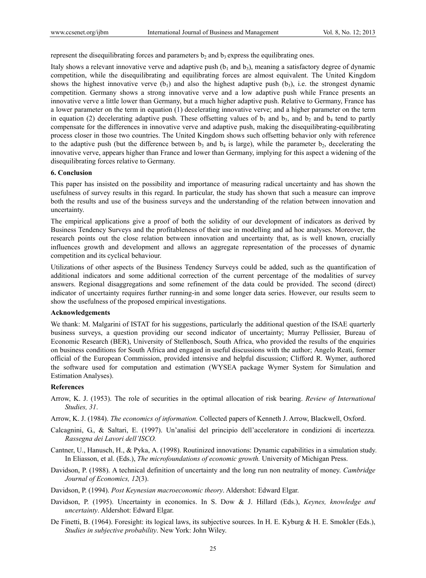represent the disequilibrating forces and parameters  $b_2$  and  $b_3$  express the equilibrating ones.

Italy shows a relevant innovative verve and adaptive push  $(b_1$  and  $b_3)$ , meaning a satisfactory degree of dynamic competition, while the disequilibrating and equilibrating forces are almost equivalent. The United Kingdom shows the highest innovative verve  $(b_1)$  and also the highest adaptive push  $(b_3)$ , i.e. the strongest dynamic competition. Germany shows a strong innovative verve and a low adaptive push while France presents an innovative verve a little lower than Germany, but a much higher adaptive push. Relative to Germany, France has a lower parameter on the term in equation (1) decelerating innovative verve; and a higher parameter on the term in equation (2) decelerating adaptive push. These offsetting values of  $b_1$  and  $b_3$ , and  $b_2$  and  $b_4$  tend to partly compensate for the differences in innovative verve and adaptive push, making the disequilibrating-equilibrating process closer in those two countries. The United Kingdom shows such offsetting behavior only with reference to the adaptive push (but the difference between  $b_3$  and  $b_4$  is large), while the parameter  $b_2$ , decelerating the innovative verve, appears higher than France and lower than Germany, implying for this aspect a widening of the disequilibrating forces relative to Germany.

#### **6. Conclusion**

This paper has insisted on the possibility and importance of measuring radical uncertainty and has shown the usefulness of survey results in this regard. In particular, the study has shown that such a measure can improve both the results and use of the business surveys and the understanding of the relation between innovation and uncertainty.

The empirical applications give a proof of both the solidity of our development of indicators as derived by Business Tendency Surveys and the profitableness of their use in modelling and ad hoc analyses. Moreover, the research points out the close relation between innovation and uncertainty that, as is well known, crucially influences growth and development and allows an aggregate representation of the processes of dynamic competition and its cyclical behaviour.

Utilizations of other aspects of the Business Tendency Surveys could be added, such as the quantification of additional indicators and some additional correction of the current percentage of the modalities of survey answers. Regional disaggregations and some refinement of the data could be provided. The second (direct) indicator of uncertainty requires further running-in and some longer data series. However, our results seem to show the usefulness of the proposed empirical investigations.

## **Acknowledgements**

We thank: M. Malgarini of ISTAT for his suggestions, particularly the additional question of the ISAE quarterly business surveys, a question providing our second indicator of uncertainty; Murray Pellissier, Bureau of Economic Research (BER), University of Stellenbosch, South Africa, who provided the results of the enquiries on business conditions for South Africa and engaged in useful discussions with the author; Angelo Reati, former official of the European Commission, provided intensive and helpful discussion; Clifford R. Wymer, authored the software used for computation and estimation (WYSEA package Wymer System for Simulation and Estimation Analyses).

#### **References**

- Arrow, K. J. (1953). The role of securities in the optimal allocation of risk bearing. *Review of International Studies, 31*.
- Arrow, K. J. (1984). *The economics of information.* Collected papers of Kenneth J. Arrow, Blackwell, Oxford.
- Calcagnini, G., & Saltari, E. (1997). Un'analisi del principio dell'acceleratore in condizioni di incertezza*. Rassegna dei Lavori dell'ISCO.*
- Cantner, U., Hanusch, H., & Pyka, A. (1998). Routinized innovations: Dynamic capabilities in a simulation study*.* In Eliasson, et al. (Eds.), *The microfoundations of economic growth.* University of Michigan Press.
- Davidson, P. (1988). A technical definition of uncertainty and the long run non neutrality of money. *Cambridge Journal of Economics, 12*(3).
- Davidson, P. (1994). *Post Keynesian macroeconomic theory*. Aldershot: Edward Elgar.
- Davidson, P. (1995). Uncertainty in economics. In S. Dow & J. Hillard (Eds.), *Keynes, knowledge and uncertainty*. Aldershot: Edward Elgar.
- De Finetti, B. (1964). Foresight: its logical laws, its subjective sources. In H. E. Kyburg & H. E. Smokler (Eds.), *Studies in subjective probability*. New York: John Wiley.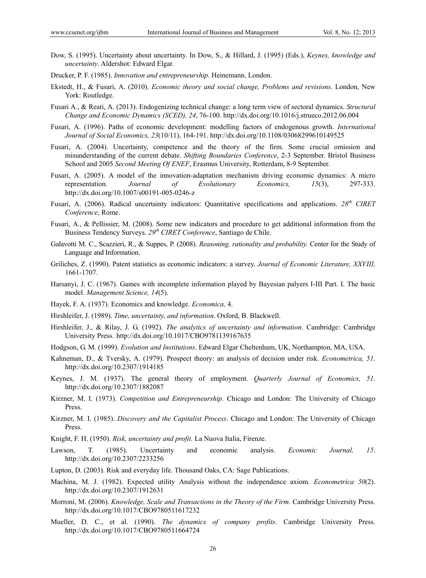- Dow, S. (1995). Uncertainty about uncertainty. In Dow, S., & Hillard, J. (1995) (Eds.), *Keynes, knowledge and uncertainty*. Aldershot: Edward Elgar.
- Drucker, P. F. (1985). *Innovation and entrepreneurship*. Heinemann, London.
- Ekstedt, H., & Fusari, A. (2010). *Economic theory and social change, Problems and revisions*. London, New York: Routledge.
- Fusari A., & Reati, A. (2013). Endogenizing technical change: a long term view of sectoral dynamics. *Structural Change and Economic Dynamics (SCED), 24*, 76-100. http://dx.doi.org/10.1016/j.strueco.2012.06.004
- Fusari, A. (1996). Paths of economic development: modelling factors of endogenous growth. *International Journal of Social Economics, 23*(10/11), 164-191. http://dx.doi.org/10.1108/03068299610149525
- Fusari, A. (2004). Uncertainty, competence and the theory of the firm. Some crucial omission and misunderstanding of the current debate. *Shifting Boundaries Conference*, 2-3 September. Bristol Business School and 2005 *Second Meeting Of ENEF*, Erasmus University, Rotterdam, 8-9 September.
- Fusari, A. (2005). A model of the innovation-adaptation mechanism driving economic dynamics: A micro representation*. Journal of Evolutionary Economics, 15*(3), 297-333. http://dx.doi.org/10.1007/s00191-005-0246-z
- Fusari, A. (2006). Radical uncertainty indicators: Quantitative specifications and applications. *28th CIRET Conference*, Rome.
- Fusari, A., & Pellissier, M. (2008). Some new indicators and procedure to get additional information from the Business Tendency Surveys. *29th CIRET Conference*, Santiago de Chile.
- Galavotti M. C., Scazzieri, R., & Suppes, P. (2008). *Reasoning, rationality and probability.* Center for the Study of Language and Information.
- Griliches, Z. (1990). Patent statistics as economic indicators: a survey. *Journal of Economic Literature, XXVIII,* 1661-1707.
- Harsanyi, J. C. (1967). Games with incomplete information played by Bayesian palyers I-III Part. I. The basic model. *Management Science, 14*(5).
- Hayek, F. A. (1937). Economics and knowledge. *Economica,* 4.
- Hirshleifer, J. (1989). *Time, uncertainty, and information*. Oxford, B. Blackwell.
- Hirshleifer, J., & Rilay, J. G. (1992). *The analytics of uncertainty and information*. Cambridge: Cambridge University Press. http://dx.doi.org/10.1017/CBO9781139167635
- Hodgson, G. M. (1999). *Evolution and Institutions*. Edward Elgar Cheltenham, UK, Northampton, MA, USA.
- Kahneman, D., & Tversky, A. (1979). Prospect theory: an analysis of decision under risk. *Econometrica, 51*. http://dx.doi.org/10.2307/1914185
- Keynes, J. M. (1937). The general theory of employment. *Quarterly Journal of Economics, 51*. http://dx.doi.org/10.2307/1882087
- Kirzner, M. I. (1973). *Competition and Entrepreneurship.* Chicago and London: The University of Chicago Press.
- Kirzner, M. I. (1985). *Discovery and the Capitalist Process*. Chicago and London: The University of Chicago Press.
- Knight, F. H. (1950). *Risk, uncertainty and profit.* La Nuova Italia, Firenze.
- Lawson, T. (1985). Uncertainty and economic analysis. *Economic Journal, 15*. http://dx.doi.org/10.2307/2233256
- Lupton, D. (2003). Risk and everyday life. Thousand Oaks, CA: Sage Publications.
- Machina, M. J. (1982). Expected utility Analysis without the independence axiom. *Econometrica 50*(2). http://dx.doi.org/10.2307/1912631
- Morroni, M. (2006). *Knowledge, Scale and Transactions in the Theory of the Firm*. Cambridge University Press. http://dx.doi.org/10.1017/CBO9780511617232
- Mueller, D. C., et al. (1990). *The dynamics of company profits*. Cambridge University Press. http://dx.doi.org/10.1017/CBO9780511664724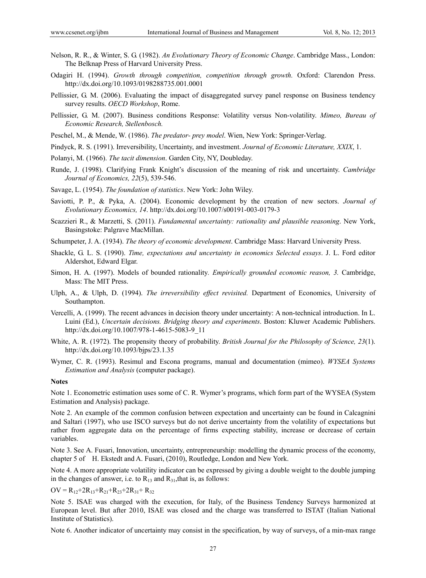- Nelson, R. R., & Winter, S. G. (1982). *An Evolutionary Theory of Economic Change*. Cambridge Mass., London: The Belknap Press of Harvard University Press.
- Odagiri H. (1994). *Growth through competition, competition through growth.* Oxford: Clarendon Press. http://dx.doi.org/10.1093/0198288735.001.0001
- Pellissier, G. M. (2006). Evaluating the impact of disaggregated survey panel response on Business tendency survey results. *OECD Workshop*, Rome.
- Pellissier, G. M. (2007). Business conditions Response: Volatility versus Non-volatility. *Mimeo, Bureau of Economic Research, Stellenbosch.*
- Peschel, M., & Mende, W. (1986). *The predator- prey model*. Wien, New York: Springer-Verlag.
- Pindyck, R. S. (1991). Irreversibility, Uncertainty, and investment. *Journal of Economic Literature, XXIX*, 1.
- Polanyi, M. (1966). *The tacit dimension*. Garden City, NY, Doubleday.
- Runde, J. (1998). Clarifying Frank Knight's discussion of the meaning of risk and uncertainty. *Cambridge Journal of Economics, 22*(5), 539-546.
- Savage, L. (1954). *The foundation of statistics*. New York: John Wiley.
- Saviotti, P. P., & Pyka, A. (2004). Economic development by the creation of new sectors. *Journal of Evolutionary Economics, 14*. http://dx.doi.org/10.1007/s00191-003-0179-3
- Scazzieri R., & Marzetti, S. (2011). *Fundamental uncertainty: rationality and plausible reasoning*. New York, Basingstoke: Palgrave MacMillan.
- Schumpeter, J. A. (1934). *The theory of economic development*. Cambridge Mass: Harvard University Press.
- Shackle, G. L. S. (1990). *Time, expectations and uncertainty in economics Selected essays*. J. L. Ford editor Aldershot, Edward Elgar.
- Simon, H. A. (1997). Models of bounded rationality*. Empirically grounded economic reason, 3.* Cambridge, Mass: The MIT Press.
- Ulph, A., & Ulph, D. (1994). *The irreversibility effect revisited.* Department of Economics, University of Southampton.
- Vercelli, A. (1999). The recent advances in decision theory under uncertainty: A non-technical introduction. In L. Luini (Ed.), *Uncertain decisions. Bridging theory and experiments*. Boston: Kluwer Academic Publishers. http://dx.doi.org/10.1007/978-1-4615-5083-9\_11
- White, A. R. (1972). The propensity theory of probability. *British Journal for the Philosophy of Science, 23*(1). http://dx.doi.org/10.1093/bjps/23.1.35
- Wymer, C. R. (1993). Resimul and Escona programs, manual and documentation (mimeo). *WYSEA Systems Estimation and Analysis* (computer package).

#### **Notes**

Note 1. Econometric estimation uses some of C. R. Wymer's programs, which form part of the WYSEA (System Estimation and Analysis) package.

Note 2. An example of the common confusion between expectation and uncertainty can be found in Calcagnini and Saltari (1997), who use ISCO surveys but do not derive uncertainty from the volatility of expectations but rather from aggregate data on the percentage of firms expecting stability, increase or decrease of certain variables.

Note 3. See A. Fusari, Innovation, uncertainty, entrepreneurship: modelling the dynamic process of the economy, chapter 5 of H. Ekstedt and A. Fusari, (2010), Routledge, London and New York.

Note 4. A more appropriate volatility indicator can be expressed by giving a double weight to the double jumping in the changes of answer, i.e. to  $R_{13}$  and  $R_{31}$ , that is, as follows:

 $\text{OV} = \text{R}_{12} + 2\text{R}_{13} + \text{R}_{21} + \text{R}_{23} + 2\text{R}_{31} + \text{R}_{32}$ 

Note 5. ISAE was charged with the execution, for Italy, of the Business Tendency Surveys harmonized at European level. But after 2010, ISAE was closed and the charge was transferred to ISTAT (Italian National Institute of Statistics).

Note 6. Another indicator of uncertainty may consist in the specification, by way of surveys, of a min-max range